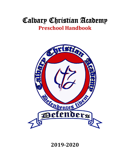# Calvary Christian Academy **Preschool Handbook**



# **2019-2020**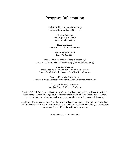### Program Information

#### Calvary Christian Academy

Located at Calvary Chapel Silver City

Physical Address: 3001 Highway 90 South Silver City, NM 88061

Mailing Address: P.O. Box 29 Silver City, NM 88062

> Phone: 575-388-4478 Fax: 575-388-4114

Interim Director: Dea Gros (dea@silvercca.org) Preschool Director: Mrs. DeShae Murphy (deshae@silvercca.org)

Board of Directors: Joseph Gros, Matt Ormand, Mike Dyndiuk, Kevin Crow, Robert Burchfield, Adan Jacquez, Lyn Neal, Jarrod Mason

Preschool Licensing Information: Licensed through New Mexico Children Youth & Families Department

> Days and Hours of Operation: Monday-Friday 8:00 a.m. - 3:30 p.m.

Services Offered: Our preschool and pre-kindergarten classrooms will provide godly, enriching learning experiences. The ongoing development of the whole child will be our aim through a variety of play experiences as well as developmentally appropriate academic lessons.

Certificate of Insurance: Calvary Christian Academy is covered under Calvary Chapel Silver City's Liability Insurance Policy with Brotherhood Mutual. This covers liability involving the premises or operations. The certificate is available in the office.

Handbook revised August 2019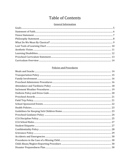# **Table of Contents**

#### **General Information**

#### Policies and Procedures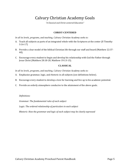### Calvary Christian Academy Goals

*"A Classical and Christ-centered Education"*

#### **CHRIST-CENTERED**

*In all its levels, programs, and teaching, Calvary Christian Academy seeks to:*

- A. Teach all subjects as parts of an integrated whole with the Scriptures at the center (II Timothy 3:16-17)
- B. Provide a clear model of the biblical Christian life through our staff and board (Matthew 22:37- 40).
- C. Encourage every student to begin and develop his relationship with God the Father through Jesus Christ (Matthew 28:18-20, Matthew 19:13-15).

#### **CLASSICAL**

*In all its levels, programs, and teaching, Calvary Christian Academy seeks to:*

- A. Emphasize grammar, logic, and rhetoric in all subjects (see definitions below).
- B. Encourage every student to develop a love for learning and live up to his academic potential.
- C. Provide an orderly atmosphere conducive to the attainment of the above goals.

#### *Definitions:*

*Grammar: The fundamental rules of each subject*

*Logic: The ordered relationship of particulars in each subject*

*Rhetoric: How the grammar and logic of each subject may be clearly expressed*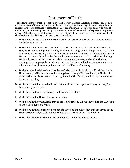### Statement of Faith

The following is the foundation of beliefs on which Calvary Christian Academy is based. They are also the key elements of Protestant Christianity that will be unapologetically taught in various ways through all grade levels. The substance of these statements is that which will be considered primary doctrine at Calvary Christian Academy. Secondary or divisive doctrines and issues will not be presented as primary doctrine. When these types of doctrine or issues arise, they will be referred back to the family and local churches for final authority (see Secondary Doctrine Policy).

- A. We believe the Bible alone to be the Word of God, the ultimate and infallible authority for faith and practice.
- B. We believe that there is one God, eternally existent in three persons: Father, Son, and Holy Spirit. He is omnipotent; that is, He can do all things. He is omnipresent; that is, He is present to all creation, and has under His immediate authority all things, which are in Heaven, in the earth, and under the earth. He is omniscient; that is, He knows all things. He readily exercises His power which is present everywhere, and to Him there is nothing that is impossible or unknown, that is, He knows what has been from eternity, what now takes place everywhere, and what will be to all eternity.
- C. We believe in the deity of our Lord Jesus Christ, in His virgin birth, in His sinless life, in His miracles, in His vicarious and atoning death through His shed blood, in His bodily resurrection, in His ascension to the right hand of the Father, and in His personal return in power and glory.
- D. We believe that, for the salvation of lost and sinful men, regeneration by the Holy Spirit is absolutely necessary.
- E. We believe that salvation is by grace through faith alone.
- F. We believe that faith without works is dead.
- G. We believe in the present ministry of the Holy Spirit, by Whose indwelling the Christian is enabled to live a godly life.
- H. We believe in the resurrection of both the saved and the lost; they that are saved to the resurrection of life, and they that are lost to the resurrection of damnation.
- I. We believe in the spiritual unity of all believers in our Lord Jesus Christ.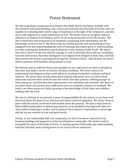### Vision Statement

We aim to graduate young men and women who think clearly and listen carefully with discernment and understanding; who reason persuasively and articulate precisely; who are capable of evaluating their entire range of experience in the light of the Scriptures; and who do so with eagerness in joyful submission to God. We desire them to recognize cultural influences as distinct from biblical, and to be un-swayed towards evil by the former. We aim to find them well-prepared in all situations, possessing both information and the knowledge of how to use it. We desire they be socially graceful and spiritually gracious; equipped with and understanding the tools of learning; desiring to grow in understanding, yet fully realizing the limitations and foolishness of the wisdom of this world. We desire they have a heart for the lost and the courage to seek to dissuade those who are stumbling towards destruction; that they distinguish real religion from religion in form only; and that they possess the former, knowing and loving the Lord Jesus Christ. And all these we desire them to possess with humility and gratitude to God.

We likewise aim to cultivate these same qualities in our staff and to see them well paid so that they may make a career at Calvary Christian Academy. We desire them to be professional and diligent in their work, gifted in teaching, loving their students and their subjects. We desire they clearly understand classical education, how it works in their classroom and how their work fits into the whole; that they possess a lifelong hunger to learn and grow; and that they have opportunity to be refreshed and renewed. We desire to see them coach and nurture new staff and to serve as academic mentors to students. We look to see them mature in Christ, growing in the knowledge of God, their own children walking with the Lord.

We aim to cultivate in our parents a sense of responsibility for the school; to see them well informed about the goals of our classical and Christ-centered approach. We desire them to grow with the school, involved in and excited about the journey. We aim to help them to follow biblical principles in addressing concerns, to be inclined to hearing both sides of a story before rendering a verdict, and to embrace the Scripture's injunctions to encourage and stir up one another to love and good works.

Finally, in our relationship with our community, we aim to be above reproach in our business dealings and supportive of the local business community. We further seek to exemplify the unity of the body of Christ, to develop greater fellowship and understanding with the churches, and to bring honor to our Lord in all our endeavors.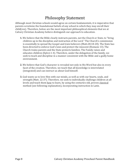# Philosophy Statement

Although most Christian schools would agree on certain fundamentals, it is imperative that parents scrutinize the foundational beliefs of any school in which they may enroll their child(ren). Therefore, below are the most important philosophical elements that we at Calvary Christian Academy believe distinguish our approach to education.

- **1.** We believe that the Bible clearly instructs parents, not the Church or State, to "bring children up in the discipline and instruction of the Lord." The Church's commission is essentially to spread the Gospel and train believers (Matt.28:18-20). The State has been directed to enforce God's laws and protect the innocent (Romans 13). The Church trains parents and the State protects families. The Family raises and educates children (Eph.6:1-4). Therefore, under the delegation of the family, we seek to teach and discipline in a manner consistent with the Bible and a godly home environment.
- **2.** We believe that God's character is revealed not only in His Word but also in every facet of the creation. Therefore, we teach that all knowledge is interrelated (integrated) and can instruct us about God himself.
- **3.** God wants us to love Him with our minds, as well as with our hearts, souls, and strength (Matt. 22:37). Therefore, we seek to individually challenge children at all levels and teach them how to learn, by using the centuries-old, proven classical method (see following explanation), incorporating instruction in Latin.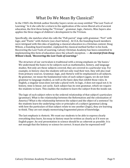### What Do We Mean By Classical?

In the 1940's the British author Dorothy Sayers wrote an essay entitled "The Lost Tools of Learning." In it she calls for a return to the application of the seven liberal arts of ancient education, the first three being the "Trivium" - grammar, logic, rhetoric*.* Miss Sayers also applies the three stages of children's development to the Trivium.

Specifically, she matches what she calls the "Poll-parrot" stage with grammar, "Pert" with logic, and "Poetic" with rhetoric (see chart below). At CCA, the founding board members were intrigued with this idea of applying a classical education in a Christian context. Doug Wilson, a founding board member, explained the classical method further in his book, Recovering the Lost Tools of Learning. Calvary Christian Academy has been committed to implementing this form of education since the school's inception. — *An excerpt from Doug Wilson's book, "Recovering the Lost Tools of Learning:"* 

The structure of our curriculum is traditional with a strong emphasis on 'the basics.' We understand the basics to be subjects such as mathematics, history, and language studies. Not only are these subjects covered, they are covered in a particular way. For example, in history class the students will not only read their text, they will also read from primary sources. Grammar, logic, and rhetoric will be emphasized in all subjects. By grammar, we mean the fundamental rules of each subject (again, we do not limit grammar to language studies), as well as the basic data that exhibit those rules. In English, a singular noun does not take a plural verb. In logic, *A* does not equal not *A.* In history, time is linear, not cyclic. Each subject has its own grammar, which we require the students to learn. This enables the student to learn the subject from the inside out.

The logic of each subject refers to the ordered relationship of that subject's particulars (grammar). What is the relationship between the Reformation and the colonization of America? What is the relationship between the subject and the object of a sentence? As the students learn the underlying rules or principles of a subject (grammar) along with how the particulars of that subject relate to one another (logic), they are learning to think. They are not simply memorizing fragmented pieces of knowledge.

The last emphasis is rhetoric. We want our students to be able to express clearly everything they learn. An essay in history must be written as clearly as if it were an English paper. An oral presentation in science should be as coherent as possible. It is not enough that the history or science be correct. It must also be expressed well"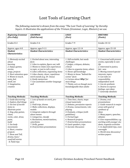### Lost Tools of Learning Chart

*The following material is drawn from the essay "The Lost Tools of Learning" by Dorothy Sayers. It illustrates the applications of the Trivium (Grammar, Logic, Rhetoric) we use.* 

| <b>Beginning Grammar</b><br>(Pre-Polly)                                                                                                                                                                                                                                                                                          | <b>GRAMMAR</b><br>(Poll-Parrot)                                                                                                                                                                                                                                                                                                                       | <b>LOGIC</b><br>(Pert)                                                                                                                                                                                                                                                                                                | <b>RHETORIC</b><br>(Poetic)                                                                                                                                                                                                                                                                                                                    |
|----------------------------------------------------------------------------------------------------------------------------------------------------------------------------------------------------------------------------------------------------------------------------------------------------------------------------------|-------------------------------------------------------------------------------------------------------------------------------------------------------------------------------------------------------------------------------------------------------------------------------------------------------------------------------------------------------|-----------------------------------------------------------------------------------------------------------------------------------------------------------------------------------------------------------------------------------------------------------------------------------------------------------------------|------------------------------------------------------------------------------------------------------------------------------------------------------------------------------------------------------------------------------------------------------------------------------------------------------------------------------------------------|
| Grades K-2                                                                                                                                                                                                                                                                                                                       | Grades 3-6                                                                                                                                                                                                                                                                                                                                            | Grades 7-9                                                                                                                                                                                                                                                                                                            | Grades 10-12                                                                                                                                                                                                                                                                                                                                   |
| Approx. ages 4-8                                                                                                                                                                                                                                                                                                                 | Approx. ages 9-11                                                                                                                                                                                                                                                                                                                                     | Approx. ages 12-14                                                                                                                                                                                                                                                                                                    | Approx. ages 15-18                                                                                                                                                                                                                                                                                                                             |
| <b>Student</b><br><b>Characteristics:</b>                                                                                                                                                                                                                                                                                        | <b>Student Characteristics:</b>                                                                                                                                                                                                                                                                                                                       | <b>Student Characteristics:</b>                                                                                                                                                                                                                                                                                       | <b>Student Characteristics:</b>                                                                                                                                                                                                                                                                                                                |
| 1. Obviously excited<br>about<br>learning<br>2. Enjoys games,<br>stories,<br>songs, projects<br>3. Short attention span<br>4. Wants to touch,<br>taste, feel,<br>smell, see<br>5. Imaginative,<br>creative                                                                                                                       | 1. Excited about new, interesting<br>facts<br>2. Likes to explain, figure out, talk<br>3. Wants to relate own experiences<br>to topic, or just to tell a story<br>4. Likes collections, organizing items<br>5. Likes chants, clever, repetitious<br>word sounds (e.g. Dr. Seuss)<br>6. Easily memorizes<br>7. Can assimilate another language<br>well | 1. Still excitable, but needs<br>challenges<br>2. Judges, critiques, debates,<br>critical<br>3. Likes to organize items, others<br>4. Shows off knowledge<br>5. Wants to know "behind the<br>scenes" facts<br>6. Curious about Why? for<br>most things<br>7. Thinks, acts as though more<br>knowledgeable than adults | 1. Concerned with present<br>events, especially in own<br>life<br>2. Interested in justice,<br>fair-ness<br>3. Moving toward special<br>interests, topics<br>4. Can take on<br>responsibility,<br>independent work<br>5. Can do synthesis<br>6. Desires to express<br>feelings, own ideas<br>7. Generally idealistic                           |
| <b>Teaching Methods:</b>                                                                                                                                                                                                                                                                                                         | <b>Teaching Methods:</b>                                                                                                                                                                                                                                                                                                                              | <b>Teaching Methods:</b>                                                                                                                                                                                                                                                                                              | <b>Teaching Methods:</b>                                                                                                                                                                                                                                                                                                                       |
| 1. Guide discovering<br>2. Explore, find things<br>3. Use lots of tactile<br>items to<br>illustrate point<br>4. Sing, play games,<br>chant,<br>recite, color, draw,<br>paint,<br>build<br>5. Use body<br>movements<br>6. Short, creative<br>projects<br>7. Show and Tell,<br>drama, hear/<br>read/tell stories<br>8. Field trips | 1. Lots of hands-on work, pro-<br>jects<br>2. Field trips, drama<br>3. Make collections, displays,<br>models<br>4. Integrate subjects through<br>above means<br>5. Categorize, classify<br>6. Recitations, memorizations,<br>catechisms<br>7. Drills, games<br>8. Oral/written presentations                                                          | 1. Time lines, charts, maps<br>(visual materials)<br>2. Debates, persuasive reports<br>3. Drama, reenactments, role-<br>playing<br>4. Evaluate, critique (with<br>guidelines)<br>5. Formal logic<br>6. Research projects<br>7. Oral/written presentations<br>8. Guest speakers, trips<br>9. Socratic Discussion       | 1. Drama, oral<br>presentations<br>2. Guide research in major<br>areas with goal of<br>synthesis of<br>ideas<br>3. Many papers, speeches,<br>debates<br>4. Give responsibilities, e.g.<br>working with younger stu-<br>dents, organize activities<br>5. In-depth field trips, even<br>overnight<br>6. World view discussion/<br>written papers |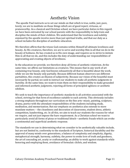### Aesthetic Vision

The apostle Paul instructs us to set our minds on that which is true, noble, just, pure, lovely; we are to meditate on those things which are of good report, virtuous, or praiseworthy. As a classical and Christian school, we have particular duties in this regard; we have been entrusted by our school parents with the responsibility to help train and discipline the minds of their children. We understand that the loveliness and nobility enjoined by the apostle involve more than just spiritual truths, and that our duty as a school includes the discipline of aesthetic education.

We therefore affirm that the triune God contains within Himself all ultimate loveliness and beauty. As His creatures, therefore, we are to serve and worship Him in all that we do in the beauty of holiness. He has created us in His own image, and requires us to strive to imitate Him in all that we do, and this includes the duty of understanding our responsibilities of appreciating and creating objects of loveliness.

In the education we provide, we therefore deny all forms of aesthetic relativism. At the same time, we affirm our limitations as creatures. This means that in any work of art containing true beauty, only God knows exhaustively all that is beautiful about the work, while we see the beauty only partially. Because different human observers see different partialities, this creates an illusion of subjectivity. Because our vision of the beautiful must necessarily be partial, we seek to instruct our students to make all aesthetic judgments in *humility*. At the same time, we want to train them on their responsibility to make grounded and informed aesthetic *judgments,* rejecting all forms of principled ugliness or aesthetic nihilism.

We seek to teach the importance of aesthetic standards in all activities associated with the school, striving for that form of excellence suitable to each activity. This obviously includes a strong emphasis throughout our curriculum on the fine arts--music, painting, sculpture, drama, poetry-with the attendant responsibilities of the students including study, meditation, and memorization. But our emphasis on aesthetics also extends to more mundane matters -- the cleanliness and decoration of classrooms, student dress, athletic competition, handwriting, *etc*. In all this, we aim to teach our students the reasons for what we require, and not just impose the bare requirement. As a Christian school we want to particularly avoid all forms of pious or traditional kitsch—aesthetic frauds which can evoke a sentimental and superficial aesthetic response.

The standards we use in determining what we consider to be aesthetically valuable include, but are not limited to, conformity to the standards of Scripture, historical durability and the approval of many minds over generations, a balance of complexity and simplicity, dignity, metaphorical strength, harmony, subtlety, the power to evoke love of truth and goodness, the art of concealing art, acuity or craftsmanship, an ability to work against standards while honoring and employing them, avoidance of formulaic clichés, and wisdom.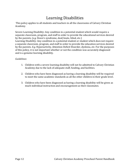# Learning Disabilities

This policy applies to all students and teachers in all the classrooms of Calvary Christian Academy.

Severe Learning Disability: Any condition in a potential student which would require a separate classroom, program, and staff in order to provide the educational services desired by the parents. (*e.g.* Down's syndrome, deaf/mute, blind, etc.) Learning Disability: Any condition in a potential student or student which does not require a separate classroom, program, and staff in order to provide the education services desired

by the parents. *E.g.* Hyperactivity, Attention Deficit Disorder, dyslexia, *etc.* For the purposes of this policy, it is not important whether or not the condition was accurately diagnosed and is a genuine learning disability.

#### *Guidelines:*

- 1. Children with a severe learning disability will not be admitted to Calvary Christian Academy due to the lack of adequate staff, funding, and facilities.
- 2. Children who have been diagnosed as having a learning disability will be required to meet the same academic standards as all the other children in their grade level.
- 3. Children who have been diagnosed as having a learning disability will be given as much individual instruction and encouragement as their classmates.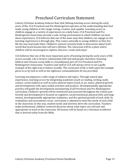### Preschool Curriculum Statement

Calvary Christian Academy believes that vital, lifelong learning occurs during the early years of life. CCA Preschool and Pre-Kindergarten operates on the understanding that God made young children in His image: loving, creative, and capable. Learning occurs as children engage in a variety of experiences on a daily basis. CCA Preschool and Pre-Kindergarten classrooms provide a safe, loving environment in which children can have those experiences. CCA believes that one of the main ways that children can engage in rich learning experiences is through play. Play comes naturally to young children as they live life the way God made them. Children's natural curiosity leads to discoveries about God's world that teach lessons that will last a lifetime. The classroom will be a place where children will be encouraged to explore, discover, create and enjoy!

CCA believes that one of the most important parts of learning during the early years of life occurs socially. Life is lived in relationship with God and people; therefore, fostering biblical and virtuous social skills is a foundational part of CCA Preschool and Pre-Kindergarten classrooms. Teachers and staff at CCA will always strive to set a godly example of the right way to behave socially. The social part of life is built upon the example given to us by God as well as the righteous commandments He has provided.

Learning encompasses a wide-range of subjects and topics. Through natural play experiences, learning occurs by integrating academics (such as reading, writing, math, science, social studies) as well as more abstract topics (such as art, music, physical growth and development) with open-ended activities and projects. Developmentally appropriate practice will guide the development and planning of all Preschool and Pre-Kindergarten curriculum. Children's growth will be monitored and assessed throughout the school year. Growth and development is focused on cognitive, social/emotional, physical (fine and large motor), developmentally appropriate academics, and the spiritual growth of each child. As evaluations and assessments occur, curriculum is adjusted to meet the needs of each child in the classroom. In this way, student needs and interests drive the curriculum. Teachers make professional, children-centered decisions about what topics are relevant and appropriate to teach in the classroom. All lessons will be based on a Christian worldview that is derived solely from the Bible.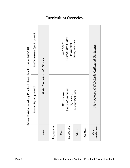

Curriculum Overview

Calvary Christian Academy Preschool Curriculum Overview 2019-2020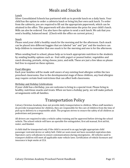# Meals and Snacks

#### Lunch

Silver Consolidated Schools has partnered with us to provide lunch on a daily basis. Your child has the option to order a cafeteria lunch or bring his/her own sack lunch. To order from the cafeteria, you are required to fill out the appropriate paperwork, which can be attained in the office. This paperwork will also determine the price for your child's lunch. Milk can also be ordered. You also have the option to send a sack lunch. We ask that you send a healthy, balanced meal. (Check with the office on current prices.)

#### Snack

Please send your child a healthy snack for the morning and for the afternoon. Each snack can be placed into different baggies that are labeled "am" and "pm" and the teachers can help children to remember that one snack is for the morning and one is for the afternoon.

When sending food to school, please help us to teach appropriate nutrition to the students by sending healthy options such as: fruit with yogurt or peanut butter, vegetables and ranch dressing, pretzels, string cheese, juice, and milk. These are just a few ideas so please feel free to expand on these options.

#### Food Allergies

Each year families will be made well aware of any existing food allergies within the two preschool classrooms. Due to the developmental stage of these children, any food allergies may require certain food restrictions that can affect both classrooms.

#### Birthday and Holiday Celebrations

If your child has a birthday, you are welcome to bring in a special treat. Please bring in healthy, nutritious snacks and treats. When we have a holiday party, we will make potluck arrangements with all families.

### Transportation Policy

Calvary Christian Academy does not provide daily transportation to children. When staff members do provide transportation for children, they are responsible for the care of children from the time of pick up to delivery to a responsible adult. The program strives to ensure the safety of all children as pedestrians and passengers.

All drivers are required to take a vehicle safety training and be approved before driving the school vehicle. The school vehicle will have an operable fire extinguisher, first aid manual, first aid kit, water, and blanket.

A child shall be transported only if the child is secured in an age/weight appropriate child passenger restraint device or safety belt. Child car seats must not have exceeded expiration date. Operators carry cell phones to ensure communications during emergencies. All vehicles used to transport children will meet all applicable state vehicle laws. Certification of vehicle licensure and insurance is kept onsite at CCA.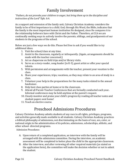### Family Involvement

*"Fathers, do not provoke your children to anger, but bring them up in the discipline and instruction of the Lord"* Eph. 6:4.

As a support and extension of the family unit, Calvary Christian Academy considers the family to be of first importance to a child. God, through His Word, the Bible, indicates that the family is the most important human institution He designed, since He compares it to the relationship believers have with Christ and the Father. Therefore, at CCA we are continually seeking ways to actively involve the parents, siblings, and grandparents of our students in the programs of the school.

Below are just a few ways we do this. Please feel free to ask if you would like to try additional ideas.

- 1. Visit the school/class at any time.
- 2. Assist in the classroom, regularly or infrequently. (Again, arrangements should be made with the teacher concerned.)
- 3. Act as chaperone on field trips and/or library visits.
- 4. Serve as a story-reader, song-leader (in K-3), guest artist or offer your special talents.
- 5. With permission and arrangements with the teacher, present your vocation to the class.
- 6. Share your experiences, trips, vacations, as they may relate to an area of study in a class.
- 7. Volunteer your help in the preparations for the many tasks related to the annual fundraiser.
- 8. Help host class parties at home or in the classroom.
- 9. Attend all Parent-Teacher Conferences that are formally conducted each year**.** Informal conferences may be held anytime at the parent's request.
- 10. Closely monitor and praise your child's progress by reading all teacher notes and student papers sent home!
- 11. Teach an elective course.

### Preschool Admissions Procedures

Calvary Christian Academy admits students of any race to all rights, privileges, programs, and activities generally made available to all students. Calvary Christian Academy practices a biblical philosophy of admissions, not discriminating on the basis of race, sex, color, or national origin in the administration of its policies, admissions, scholarships, athletic, and other school- directed programs.

Admission Procedures:

- A. Upon return of a completed application, an interview with the family will be arranged with the admissions committee. During the interview, an academic assessment will be completed to better place the child in the appropriate classroom.
- B. After the interview, and after reviewing all other required materials (as stated on the application form), the committee will make the decision whether or not to admit the student.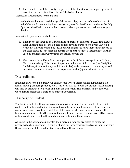C. The committee will then notify the parents of the decision regarding acceptance. If accepted, the parents will receive an Admissions Packet.

Admission Requirements for the Student:

A child must have reached the age of three years by January 1 of the school year in which he would be entering Preschool (four years for Pre-Kinder), and must be fully "potty-trained" with no more than three accidents per week before the school year begins.

Admission Requirements for the Parents:

- A. Though not required to be Christians, the parents of students in CCA should have a clear understanding of the biblical philosophy and purpose of Calvary Christian Academy. This understanding includes a willingness to have their child exposed to the clear teaching (not forced indoctrination) of the school's Statement of Faith in various and frequent ways within the school's program.
- B. The parents should be willing to cooperate with all the written policies of Calvary Christian Academy. This is most important in the area of discipline (see Discipline Guidelines, Guidance Policy, and School Rules) and school-work standards, as well as active communication with the respective teacher(s) and administration.

#### Disenrollment

If the need arises to dis-enroll your child, please write a letter explaining the need (i.e. family moving, changing schools, etc.). This letter will be kept in the student file. A meeting will also be scheduled to discuss and plan the transition. The principal and teacher will work hard to make the transition as smooth as possible.

#### Discharge of Student

The family's lack of willingness to collaborate with the staff for the benefit of the child could result in the child being discharged from the program. Examples: refusal to attend parent conferences, continued violation of designated schedule, or failure to meet the financial obligation within the required payment time. Failure to comply with **all** program policies could also result in the child no longer attending the program.

As stated in the attendance policy for the programs, families are asked to notify the program if a child is absent. If a child is absent for three consecutive days without notifying the program, the child could be dis-enrolled from the program.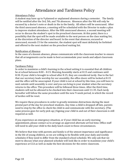### Attendance and Tardiness Policy

#### Attendance Policy

A student may have up to 9 planned or unplanned absences during a semester. The family will be notified after the 3rd, 5th, and 7th absences. Absences after the 9th will only be excused by a doctor's note or death in the in the family. All others will be unexcused. After the third unexcused absence, a meeting will be scheduled with the Director to make a plan to improve student attendance. After the fifth unexcused absence, a second meeting will occur to discuss the student's spot in the preschool classroom. At this point, there is a possibility that the spot will be made available to the next person on the class waiting list, at the discretion of the director and board. In the event that absences, excused or unexcused, exceeds 15 for the semester, the student spot will most definitely be forfeited and offered to the next student on the preschool waiting list.

#### Notification of Absence

In the cases of a known absence, please communicate with the classroom teacher to ensure that all arrangements can be made to best accommodate your needs and adjust classroom plans.

#### Tardiness Policy

In order to maximize a child's learning in the school setting it is essential that all children be at school between 8:00 – 8:15. Morning Assembly starts at 8:15 and continues until 8:30. If your child is brought to school after 8:15, they are considered tardy. Due to the fact that our secretary leads worship for our assembly, the office doors will be locked at 8:15 and the office will be unoccupied. If your child is not at school by this time, you will have to wait outside until assembly is over and you can bring in your student when the secretary returns to the office. This procedure will be followed three times. After the third time, students will not be allowed to be checked into their classroom until 11:35. Each tardy hereafter will follow the same procedure until the new 9-week period, in which the record of tardies will be reset.

We require these procedures in order to greatly minimize distractions during the most pivotal part of the day for preschool students. Any time a child is dropped off late, parents need to stop by the office to check the child in and communicate with the secretary. (The same process goes for early pick-up.) Signing your child in and out of their classroom is still required as well.

If you experience an emergency situation, or if your child has an early morning appointment, please contact us to arrange an approved alternate arrival time. Office staff will need to add your child to the daily lunch count in these circumstances.

We believe that time with parents and family is of the utmost importance and significance in the life of young children, so we are willing to be flexible with your daily and weekly schedules if they need to differ from the standard school schedule. We only ask that we meet to discuss what your planned schedule will look like in order to maximize your child's experience at CCA as well as make the best decisions for the entire classroom.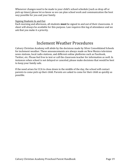Whenever changes need to be made to your child's school schedule (such as drop off or pick up times) please let us know so we can plan school work and communication the best way possible for you and your family.

#### Signing Students In and Out

Each morning and afternoon, all students **must** be signed in and out of their classrooms. A sheet will always be available for this purpose. Law requires this log of attendance and we ask that you make it a priority.

### Inclement Weather Procedures

Calvary Christian Academy will abide by the decisions made by Silver Consolidated Schools for inclement weather. These announcements are always made on New Mexico television news stations, local radio stations, and different online platforms such as Facebook, Twitter, etc. Please feel free to text or call the classroom teacher for information as well. In instances when school is not delayed or canceled, please make decisions that would be best to keep your family safe.

If the need arises for CCA to close down in the middle of the day, the school will contact parents to come pick up their child. Parents are asked to come for their child as quickly as possible.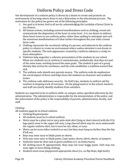# Uniform Policy and Dress Code

Our development of a uniform policy is driven by a desire to create and promote an environment of learning where dress is not a distraction to the educational process. The motivation for the policy has grown out of the following principles:

- 1. Our goal is to honor God in all we do, acknowledging the Lordship of Jesus Christ in our choices.
- 2. All human actions, including outward manifestations such as clothing, reveal and communicate the disposition of the heart at some level. It is our desire to address these heart issues in one uniform policy rather than seeking to anticipate and curb the numerous manifestations of it that surface throughout the year with a looser dress code.
- 3. Clothing represents the vocational calling of a person, and inherent in the uniform policy is a desire to create an environment where undue attention is not drawn to specific students. The neat appearance created by a uniform enhances a ready-tolearn atmosphere.
- 4. Uniforms help engender a cohesive presentation of the students in our school. When our students are in uniform it communicates, aesthetically, that they are part of the same team, working toward the same goals. The student is part of a group identity that strives for excellence, and the code establishes a tradition toward that end.
- 5. The uniform code should save parents money. The uniform code de-emphasizes the social impact of dress and helps focus the students on character and academic issues.
- 6. The uniform code addresses security. On field trips, students in uniform aid the teachers in keeping track of everyone. On the playground or in the school, teachers and staff can clearly identify students from outsiders.

Students are expected to be in uniform while on campus unless specified otherwise by the administration. The administration is responsible for the interpretation of the policy, and the enforcement of the policy is the responsibility of parents, administration, faculty, and staff.

#### *Clothing:*

All students must be in school uniform.

- Clothing Requirements:
- All students must be in school uniform.
- Shirts must be a plain red or navy polo-style shirt (long or short sleeve) with the CCA logo patch sewn to the upper left area. Long-sleeved shirts may be worn underneath the regular uniform shirt, but it must be red, white, or navy.
- Shirts can be worn either tucked in or not, but they must hang no further than the hip if left out.
- Boys may wear navy or khaki pants or shorts.
- Girls may wear navy or khaki pants, Capri pants, shorts, skirts, skorts, or jumpers.
- Uniforms must be clean and in good condition (i.e. no holes/tears).
- All clothing must fit appropriately. Boys may not wear baggy pants. Girls may not wear tight or form-fitting clothing.
- Students must wear playground-appropriate shoes (i.e. no flip-flops, high heels).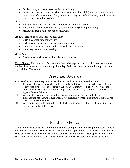- Students may not wear hats inside the building.
- Jackets or sweaters worn in the classroom must be solid (only small emblems or logos) and of school colors (red, white, or navy) or a school jacket, which may be purchased through the school.

#### *Hair:*

- Hair for both boys and girls should be natural-looking and neat.
- Boys should wear their hair short, above the collar (i.e. no pony-tails).
- Mohawks, dreadlocks, etc. are not allowed.

#### *Jewelry (according to the school's discretion):*

- Girls may wear modest jewelry.
- Girls may wear one pierced-earring per earlobe.
- Body piercing jewelry may not be worn by boys or girls.
- Boys may not wear any earrings.

#### *Other Points:*

Be clean: recently washed, hair clean and combed

Extra Clothes: Please bring a full set of clothes to be kept at school at all times in case your student has a need to change on any given day. Each item must be labeled and placed in a zip lock bag. Thank you!

### Preschool Awards

CCA Preschool maintains a system of formal honors and awards for several reasons:

- I. The recognition of good work is endorsed in the Scriptures, from the writings of Solomon (Proverbs), to those of Paul (Romans, Ephesians, I Timothy, etc.). Therefore, we seek to publicly recognize those students accomplishing the necessary prerequisites to receive the applicable award/honor.
- II. We hope to encourage the motivation to good work among all the students by demonstrating to them that such work is not overlooked or taken for granted, but rather it is noticed and commended.
- III. We want to draw public attention to the high quality of work being done by our students, to the glory of God and their parents.

### Field Trip Policy

The principal must approve all field trips before being planned. Once a plan has been made, families will be given prior notice as to when a field trip is planned, the destination, and the time of return. A permission slip will be required for every event. Appropriate child-adult ratios will be maintained at all times. Parent volunteers are welcomed and appreciated.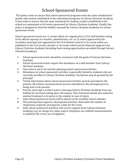# School-Sponsored Events

This policy seeks to ensure that school-sponsored programs meet the same standards for quality and content established in the educational programs at Calvary Christian Academy. It also seeks to ensure that the same standards for student conduct established at the school are maintained at all events sponsored by Calvary Christian Academy. Finally, this policy is designed to limit the liability assumed by Calvary Christian Academy for schoolsponsored events.

School-sponsored events are 1) events which are organized by a CCA staff member acting in his official capacity as a teacher, administrator, etc. or 2) events approved by the secondary principal and organized by the CCA Student Council or 3) events which are published on the CCA yearly calendar or 4) events which receive financial support from Calvary Christian Academy (including fund-raising opportunities provided through Calvary Christian Academy).

- 1. School-sponsored events should be consistent with the goals of Calvary Christian Academy.
- 2. School-sponsored events require the attendance of a staff member from Calvary Christian Academy.
- 3. Class time is not to be used for planning school-sponsored activities.
- 4. Attendance at school-sponsored activities is generally limited to students who are currently enrolled at Calvary Christian Academy. Exceptions may be granted by the principal.
- 5. Timely information about school-sponsored activities must be provided to the parents. All written communication must be submitted to the principal prior to being sent to the parents.
- 6. Parents must sign a written waiver releasing Calvary Christian Academy from any liability for all events taking place off campus. This statement should also authorize medical treatment to be given to the student in case of injury.
- 7. Only school-sponsored events will be placed on the monthly school calendar.
- 8. The principal must approve all proposed activities, determine the number of chaperones required, and approve a date for the event.
- 9. Only school-sponsored activities will receive support from Calvary Christian Academy (*e.g.* no charge for copier and/or telephone use, bulletin announcements to publicize the event, use of supplies).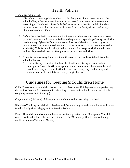# Health Policies

#### Student Health Records

- 1. All students attending Calvary Christian Academy must have on record with the school office, either a current immunization record or an exemption statement according to New Mexico State Code, before entering school in the fall. Standard immunization record forms may be obtained from the family doctor and a copy given to the school office.
- 2. Before the school will issue any medication to a student, we must receive written parental permission. In order to facilitate the general dispensing of non-prescription medicine (e.g. Tylenol & Tums), we have a form available for parents to grant a year's general permission to the school to issue non-prescription medicines to their student(s). This form will be kept in the student's file. No prescription medicines will be dispensed without written parental permission each time.
- 3. Other forms necessary for student health records that can be obtained from the school office are:
	- A. Health History: Describes the basic health/illness history of each student.
	- B. Emergency Form: Lists the emergency contact names and phones numbers of people who may need notification in a medical emergency. Includes signed waiver in order to facilitate necessary surgical action.

### Guidelines for Keeping Sick Children Home

Colds: Please keep your child at home if he has a fever over 100 degrees or is experiencing discomfort that would interfere with his ability to perform in school (i.e. uncontrollable coughing, severe lack of energy).

Conjunctivitis (pink-eye): Follow your doctor's advice for returning to school.

Diarrhea/Vomiting: A child with diarrhea and / or vomiting should stay at home and return to school only after being symptom-free for 24 hours.

Fever: The child should remain at home with a fever greater than 100 degrees. The child can return to school after he has been fever free for 24 hours (without fever-reducing medicine such as Tylenol or Motrin).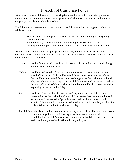### Preschool Guidance Policy

\*Guidance of young children is a partnership between home and school. We appreciate your support in modeling and teaching appropriate behaviors at home and will work to support you while your child is at school.

The following is an overview of the steps that are followed when dealing with behaviors while at school:

- Teachers verbally and practically encourage and model loving and forgiving social behaviors.
- Each and every situation is evaluated with high regards to each child's development and particular needs. Our goal is to teach children moral values!

-When a child is not exhibiting appropriate behaviors, the teacher uses a classroom behavior chart to teach children to take ownership of their own behaviors. There are three levels on the classroom chart.

- Green child is following all school and classroom rules. Child is consistently doing what is asked of him or her.
- Yellow child has broken school or classroom rules or is not doing what has been asked of him or her. Child will be asked three times to correct the behavior. If the child has been asked three times to change his or her behavior and told why the behavior is unacceptable, the child's marker will be moved to yellow. Once on yellow, the child's marker will not be moved back to green until the beginning of the next school day.
- Red child's marker has already been moved to yellow, but the child has not corrected his or her behavior. Once a child's marker has been moved to red, he or she will have outside/ play time reduced, but by no more than 5 minutes. The child will either stay inside with the teacher on duty or sit at the table outside, but will not be allowed to play.
- If a child's marker is on red for three consecutive days, the child will be sent home from school and kept home the following school day. A conference will be scheduled for the child's parent(s), teacher, and school director/ co-director to determine a plan of action that will be put in place.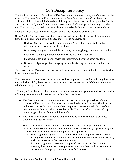# CCA Discipline Policy

The kind and amount of discipline will be determined by the teachers, and if necessary, the director. The discipline will be administered in the light of the student's problem and attitude. All discipline will be based on biblical principles, e.g. restitution, apologies (public and private), swift/painful punishment, restoration of fellowship, no lingering attitudes, etc. The vast majority of discipline problems are to be dealt with at the classroom level.

Love and forgiveness will be an integral part of the discipline of a student.

Office Visits: There are five basic behaviors that will automatically necessitate discipline from the director (and not from the teacher). Those behaviors are:

- 1. **Blatant** Disrespect shown to a staff member. The staff member is the judge of whether or not disrespect has been shown.
- 2. Dishonesty in any situation while at school, including lying, cheating, and stealing.
- 3. Rebellion, i.e. outright disobedience in response to instructions.
- 4. Fighting, i.e. striking in anger with the intention to harm the other student.
- 5. Obscene, vulgar, or profane language, as well as taking the name of the Lord in vain.

As a result of an office visit, the director will determine the nature of the discipline for the infraction in question.

The director may require restitution, janitorial work, parental attendance during the school day with their child, detention, or any other measures consistent with biblical guidelines which may be appropriate.

If for any of the above or other reasons, a student receives discipline from the director, the following accounting will be observed within the school year:

- A. The first two times a student is sent to the director for discipline the student's parents will be contacted afterward and given the details of the visit. The director will make a note of each occasion when the parents are contacted after an office visit, and enter that record in the student's file. The parents' assistance and support in averting further problems will be sought.
- B. The third office visit will be followed by a meeting with the student's parents, director, and superintendent.
- C. Should the student require a fourth office visit, a two-day suspension will be imposed on the student followed by a meeting with the student (if appropriate), his parents and the director. During the period of suspension:
	- a. Any assignments given to the student *prior* to the suspension that are due during the student's absence must be turned in immediately upon his return, with the appropriate deduction for lateness.
	- b. For any assignments, tests, etc. completed *in class* during the student's absence, the student will be required to complete them within two days of returning, with appropriate deductions for lateness.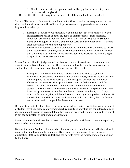- c. All other *due dates* for assignments will still apply for the student (i.e. no extra time will be given).
- D. If a fifth office visit is required, the student will be expelled from the school.

Serious Misconduct: If a student commits an act with such serious consequences that the director deems it necessary, the office-visit process may be by-passed and suspension imposed immediately.

- 1. Examples of such serious misconduct could include, but not be limited to: acts endangering the lives of other students or staff members, gross violence, vandalism of school property, violations of civil law, or drug abuse. Students may also be subject to school discipline for serious misconduct, even if it occurs after school hours or off school property.
- 2. If the director desires to pursue expulsion, he will meet with the board to inform them, receive their counsel, and ask the board to make a final decision. The fact that the board was involved in the process does not preclude the family's right to appeal the decision to the board.

School Culture: If in the judgment of the director, a student's continued enrollment is a significant negative influence on the other students, he has the right to seek to expel the student for that reason, and apart from the process of office visits.

- 1. Examples of such behavior would include, but not be limited to, student romances, disobedience to parents, love of worldliness, a surly attitude, and any other ongoing attitudes reflecting a clear disregard of scriptural standards.
- 2. If the director exercises this option, he will meet with the parents, and the board. The board will make a final decision. He will then meet with the student's parents to inform them of the board's decision. The parents will then have the option to withdraw their student to prevent expulsion, but if they exercise this option, they will have forfeited their right to appeal to the board. If they decline to withdraw their child and their child is expelled, then the family retains their right to appeal the decision to the board.

Re-admittance: At the discretion of the appropriate director, in consultation with the board, a student may be refused re-enrollment. Such refusal to re-enroll is not considered a direct disciplinary act, requiring accumulated office visits in order to be taken. Refusal to re-enroll is not the equivalent of suspension or expulsion.

Re-enrollment: Should a student who was expelled, or who withdrew to prevent expulsion, desire to be readmitted to

Calvary Christian Academy at a later date, the director, in consultation with the board, will make a decision based on the student's attitude and circumstances at the time of reapplication. If the application is declined, the parents have the right to appeal the decision to the board.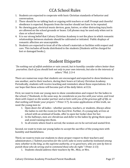- 1. Students are expected to cooperate with basic Christian standards of behavior and conversation.
- 2. There should be no talking back or arguing with teachers or staff. Prompt and cheerful obedience is expected. Requests from the teacher should not have to be repeated.
- 3. No chewing gum, electrical music devices, guns, knives, or other distracting toys/tools are allowed on the school grounds or buses. Cell phones may be used only when not in class or school events.
- 4. It is our strong belief that Calvary Christian Academy is not the place in which romantic relationships between students should be cultivated or initiated. Public displays of romantic affection are unacceptable.
- 5. Students are expected to treat all of the school's materials or facilities with respect and care. This includes all books distributed to the students (Students will be charged for lost or damaged books.).

### Student Etiquette

*"Do nothing out of selfish ambition or vain conceit, but in humility consider others better than yourselves. Each of you should look not only to your own interests, but also to the interests of others."* Phil. 2:3-4

There are numerous ways that students are encouraged and expected to show kindness to one another, and to their teachers, during their hours at Calvary Christian Academy. Periodically, students will receive teaching and reminders about these expectations. It is our hope that these actions will become part of the daily fabric at CCA.

First, we want to train our young men to show consideration and respect for the ladies in the school. ("*Husbands, in the same way, be considerate as you live with your wives, and treat them with respect as the weaker partner and as heirs with you of the gracious gift of life, so that nothing will hinder your prayers.*" I Peter 3:7). As some applications of this truth, we want the young men to:

- 1. Open doors for all ladies whether parents, teachers, or students. Always allow the ladies to exit the room (or the bus) first. Further, if a young lady arrives at school with an armload of books, offer to open her locker door for her.
- 2. In the hallways, men are chivalrous and defer to the ladies by giving them space and avoid running into them.
- 3. In all events where food is served, the women are to be served and seated first.

Second, we want to train our young ladies to accept the sacrifice of the young men with humility and thankfulness.

Third, we want to train our students to show proper respect to their teachers and administrators. (*"Submit yourselves for the Lord's sake to every authority instituted among men; whether to the king, as the supreme authority, or to governors, who are sent by him to punish those who do wrong and to commend those who do right."* I Peter 2:13)

1. Students should address their teachers by Mr., Miss, or Mrs.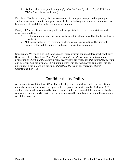2. Students should respond by saying "yes" or "no", not "yeah" or "ugh". ("Sir" and "Ma'am" are always welcome.)

Fourth, at CCA the secondary students cannot avoid being an example to the younger students. We want them to be a good example. In the hallways, secondary students are to be considerate and defer to the elementary students.

Finally, CCA students are encouraged to make a special effort to welcome visitors and newcomers to CCA.

- 1. Greet parents who visit during school assemblies. Make sure that the ladies have a place to sit.
- 2. Make a special effort to welcome students who are new to CCA. The Student Council will also take pains to make sure this is done adequately.

Conclusion: We would like CCA to be a place where visitors sense a difference. Specifically, the aroma of Christian love. *("But thanks be to God, who always leads us in triumphal procession in Christ and though us spreads everywhere the fragrance of the knowledge of him. For we are to God the aroma of Christ among those who are being saved and those who are perishing. To the one we are the smell of death, to the other, the fragrance of life."* II Corinthians 2:14-15)

### Confidentiality Policy

All information obtained by CCA will be held at greatest confidence with the exception of child abuse cases. These will be reported to the proper authorities only. Each year, CCA staff members will be required to sign a confidentiality agreement. Information will only be released to outside parties, with the permission from the family, except upon the request of regulatory parties.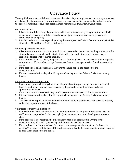### Grievance Policy

These guidelines are to be followed whenever there is a dispute or grievance concerning any aspect of Calvary Christian Academy's operations, between any two parties connected in a direct way to the school. This includes students, parents, staff, volunteers, administration, and board.

#### *General Guidelines:*

- 1. It is understood that if any disputes arise which are not covered by this policy, the board will decide what procedures to follow based on a parity of reasoning from those procedures established by this policy.
- 2. It is also understood that, especially during the attempted resolution of concerns, the principles of Matthew 18 and James 3 will be followed.

#### Students/parents to teachers:

- 1. All concerns about the classroom must first be presented to the teacher by the parents, or if the student is mature enough, by the student himself. If the student presents the concern, a respectful demeanor is required at all times.
- 2. If the problem is not resolved, the parents or student may bring the concern to the appropriate administrator. If the student brings the concern, he must have permission from his parents to do so.
- 3. If the problem is still not resolved, the parents should appeal the decision to the superintendent.
- 4. If there is no resolution, they should request a hearing from the Calvary Christian Academy Board.

#### Parents/patrons to administrator:

- 1. If parents or patrons have a grievance or dispute about the general operation of the school (apart from the operation of the classrooms), they should bring their concerns to the appropriate principal.
- 2. If the situation is not resolved, they should present their concerns to the Superintendent.
- 3. If there is no resolution, they should request a hearing from the Calvary Christian Academy Board.
- 4. This procedure applies to board members who are acting in their capacity as parents/patrons, and not as representatives of the Board.

#### Volunteers to Staff/Administration:

- 1. If any volunteer has a concern about the volunteer work, he will present that concern to the staff member responsible for his oversight (teacher, superintendent, development director, etc.).
- 2. If the problem is not resolved, then the concern should be presented in writing to the superintendent, followed by a meeting with him to discuss the concern.
- 3. If the problem is still not resolved, the volunteer may request a hearing from the board in writing. The request will be passed through the superintendent. The superintendent is required to pass the request on to the board.